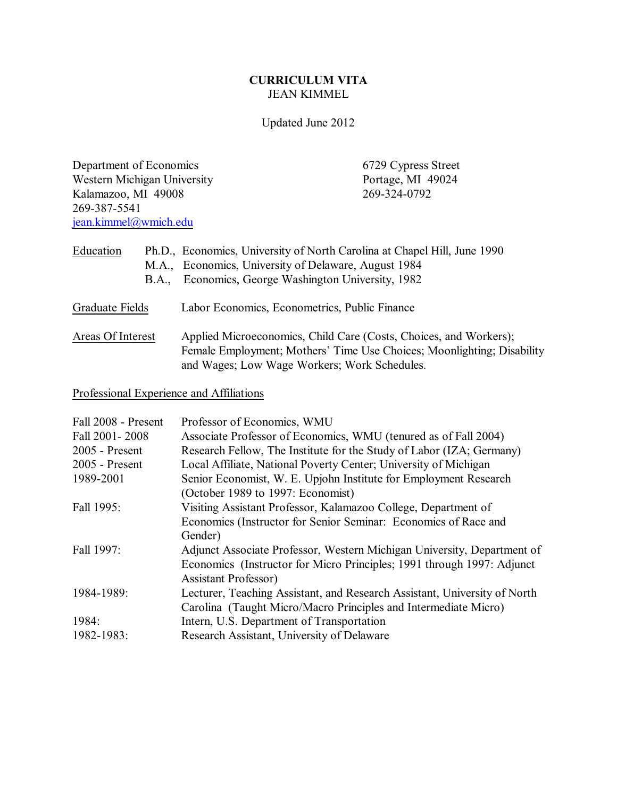# **CURRICULUM VITA** JEAN KIMMEL

Updated June 2012

Department of Economics<br>
Western Michigan University<br>
Portage, MI 49024 Western Michigan University<br>
Kalamazoo, MI 49008 269-324-0792 Kalamazoo, MI 49008 269-387-5541 [jean.kimmel@wmich.edu](mailto:jean.kimmel@wmich.edu)

| Education         | <b>B.A.</b> | Ph.D., Economics, University of North Carolina at Chapel Hill, June 1990<br>M.A., Economics, University of Delaware, August 1984<br>Economics, George Washington University, 1982           |
|-------------------|-------------|---------------------------------------------------------------------------------------------------------------------------------------------------------------------------------------------|
| Graduate Fields   |             | Labor Economics, Econometrics, Public Finance                                                                                                                                               |
| Areas Of Interest |             | Applied Microeconomics, Child Care (Costs, Choices, and Workers);<br>Female Employment; Mothers' Time Use Choices; Moonlighting; Disability<br>and Wages; Low Wage Workers; Work Schedules. |

Professional Experience and Affiliations

| Fall 2008 - Present | Professor of Economics, WMU                                               |
|---------------------|---------------------------------------------------------------------------|
| Fall 2001-2008      | Associate Professor of Economics, WMU (tenured as of Fall 2004)           |
| $2005$ - Present    | Research Fellow, The Institute for the Study of Labor (IZA; Germany)      |
| $2005$ - Present    | Local Affiliate, National Poverty Center; University of Michigan          |
| 1989-2001           | Senior Economist, W. E. Upjohn Institute for Employment Research          |
|                     | (October 1989 to 1997: Economist)                                         |
| Fall 1995:          | Visiting Assistant Professor, Kalamazoo College, Department of            |
|                     | Economics (Instructor for Senior Seminar: Economics of Race and           |
|                     | Gender)                                                                   |
| Fall 1997:          | Adjunct Associate Professor, Western Michigan University, Department of   |
|                     | Economics (Instructor for Micro Principles; 1991 through 1997: Adjunct    |
|                     | <b>Assistant Professor</b> )                                              |
| 1984-1989:          | Lecturer, Teaching Assistant, and Research Assistant, University of North |
|                     | Carolina (Taught Micro/Macro Principles and Intermediate Micro)           |
| 1984:               | Intern, U.S. Department of Transportation                                 |
| 1982-1983:          | Research Assistant, University of Delaware                                |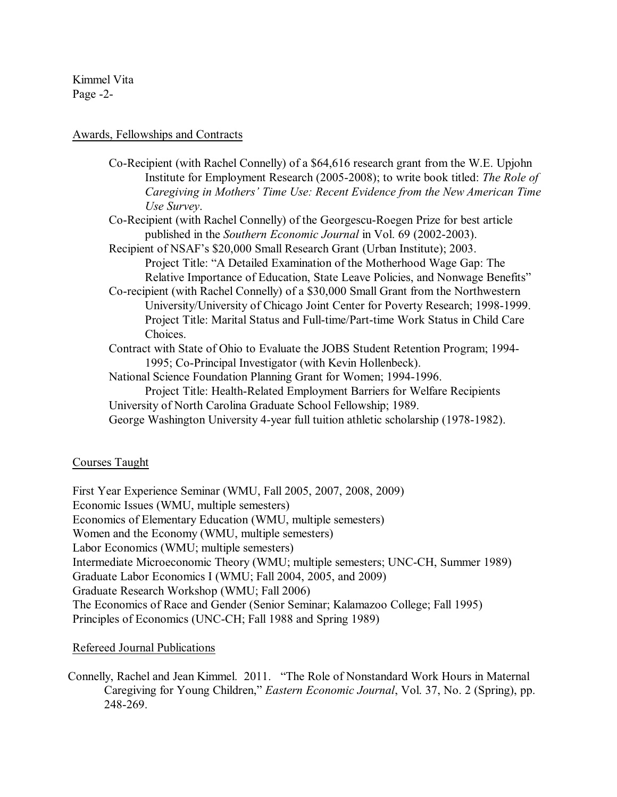Kimmel Vita Page -2-

## Awards, Fellowships and Contracts

| Caregiving in Mothers' Time Use: Recent Evidence from the New American Time<br>Use Survey.<br>Co-Recipient (with Rachel Connelly) of the Georgescu-Roegen Prize for best article<br>published in the Southern Economic Journal in Vol. 69 (2002-2003).<br>Recipient of NSAF's \$20,000 Small Research Grant (Urban Institute); 2003.<br>Project Title: "A Detailed Examination of the Motherhood Wage Gap: The<br>Relative Importance of Education, State Leave Policies, and Nonwage Benefits"<br>Co-recipient (with Rachel Connelly) of a \$30,000 Small Grant from the Northwestern<br>University/University of Chicago Joint Center for Poverty Research; 1998-1999.<br>Project Title: Marital Status and Full-time/Part-time Work Status in Child Care<br>Choices.<br>Contract with State of Ohio to Evaluate the JOBS Student Retention Program; 1994–<br>1995; Co-Principal Investigator (with Kevin Hollenbeck).<br>National Science Foundation Planning Grant for Women; 1994-1996.<br>Project Title: Health-Related Employment Barriers for Welfare Recipients<br>University of North Carolina Graduate School Fellowship; 1989.<br>George Washington University 4-year full tuition athletic scholarship (1978-1982). | Co-Recipient (with Rachel Connelly) of a \$64,616 research grant from the W.E. Upjohn<br>Institute for Employment Research (2005-2008); to write book titled: The Role of |
|----------------------------------------------------------------------------------------------------------------------------------------------------------------------------------------------------------------------------------------------------------------------------------------------------------------------------------------------------------------------------------------------------------------------------------------------------------------------------------------------------------------------------------------------------------------------------------------------------------------------------------------------------------------------------------------------------------------------------------------------------------------------------------------------------------------------------------------------------------------------------------------------------------------------------------------------------------------------------------------------------------------------------------------------------------------------------------------------------------------------------------------------------------------------------------------------------------------------------------|---------------------------------------------------------------------------------------------------------------------------------------------------------------------------|
|                                                                                                                                                                                                                                                                                                                                                                                                                                                                                                                                                                                                                                                                                                                                                                                                                                                                                                                                                                                                                                                                                                                                                                                                                                  |                                                                                                                                                                           |
|                                                                                                                                                                                                                                                                                                                                                                                                                                                                                                                                                                                                                                                                                                                                                                                                                                                                                                                                                                                                                                                                                                                                                                                                                                  |                                                                                                                                                                           |
|                                                                                                                                                                                                                                                                                                                                                                                                                                                                                                                                                                                                                                                                                                                                                                                                                                                                                                                                                                                                                                                                                                                                                                                                                                  |                                                                                                                                                                           |
|                                                                                                                                                                                                                                                                                                                                                                                                                                                                                                                                                                                                                                                                                                                                                                                                                                                                                                                                                                                                                                                                                                                                                                                                                                  |                                                                                                                                                                           |
|                                                                                                                                                                                                                                                                                                                                                                                                                                                                                                                                                                                                                                                                                                                                                                                                                                                                                                                                                                                                                                                                                                                                                                                                                                  |                                                                                                                                                                           |
|                                                                                                                                                                                                                                                                                                                                                                                                                                                                                                                                                                                                                                                                                                                                                                                                                                                                                                                                                                                                                                                                                                                                                                                                                                  |                                                                                                                                                                           |
|                                                                                                                                                                                                                                                                                                                                                                                                                                                                                                                                                                                                                                                                                                                                                                                                                                                                                                                                                                                                                                                                                                                                                                                                                                  |                                                                                                                                                                           |
|                                                                                                                                                                                                                                                                                                                                                                                                                                                                                                                                                                                                                                                                                                                                                                                                                                                                                                                                                                                                                                                                                                                                                                                                                                  |                                                                                                                                                                           |
|                                                                                                                                                                                                                                                                                                                                                                                                                                                                                                                                                                                                                                                                                                                                                                                                                                                                                                                                                                                                                                                                                                                                                                                                                                  |                                                                                                                                                                           |
|                                                                                                                                                                                                                                                                                                                                                                                                                                                                                                                                                                                                                                                                                                                                                                                                                                                                                                                                                                                                                                                                                                                                                                                                                                  |                                                                                                                                                                           |
|                                                                                                                                                                                                                                                                                                                                                                                                                                                                                                                                                                                                                                                                                                                                                                                                                                                                                                                                                                                                                                                                                                                                                                                                                                  |                                                                                                                                                                           |
|                                                                                                                                                                                                                                                                                                                                                                                                                                                                                                                                                                                                                                                                                                                                                                                                                                                                                                                                                                                                                                                                                                                                                                                                                                  |                                                                                                                                                                           |
|                                                                                                                                                                                                                                                                                                                                                                                                                                                                                                                                                                                                                                                                                                                                                                                                                                                                                                                                                                                                                                                                                                                                                                                                                                  |                                                                                                                                                                           |
|                                                                                                                                                                                                                                                                                                                                                                                                                                                                                                                                                                                                                                                                                                                                                                                                                                                                                                                                                                                                                                                                                                                                                                                                                                  |                                                                                                                                                                           |
|                                                                                                                                                                                                                                                                                                                                                                                                                                                                                                                                                                                                                                                                                                                                                                                                                                                                                                                                                                                                                                                                                                                                                                                                                                  |                                                                                                                                                                           |
|                                                                                                                                                                                                                                                                                                                                                                                                                                                                                                                                                                                                                                                                                                                                                                                                                                                                                                                                                                                                                                                                                                                                                                                                                                  |                                                                                                                                                                           |
|                                                                                                                                                                                                                                                                                                                                                                                                                                                                                                                                                                                                                                                                                                                                                                                                                                                                                                                                                                                                                                                                                                                                                                                                                                  |                                                                                                                                                                           |
|                                                                                                                                                                                                                                                                                                                                                                                                                                                                                                                                                                                                                                                                                                                                                                                                                                                                                                                                                                                                                                                                                                                                                                                                                                  |                                                                                                                                                                           |

# Courses Taught

First Year Experience Seminar (WMU, Fall 2005, 2007, 2008, 2009) Economic Issues (WMU, multiple semesters) Economics of Elementary Education (WMU, multiple semesters) Women and the Economy (WMU, multiple semesters) Labor Economics (WMU; multiple semesters) Intermediate Microeconomic Theory (WMU; multiple semesters; UNC-CH, Summer 1989) Graduate Labor Economics I (WMU; Fall 2004, 2005, and 2009) Graduate Research Workshop (WMU; Fall 2006) The Economics of Race and Gender (Senior Seminar; Kalamazoo College; Fall 1995) Principles of Economics (UNC-CH; Fall 1988 and Spring 1989)

# Refereed Journal Publications

Connelly, Rachel and Jean Kimmel. 2011. "The Role of Nonstandard Work Hours in Maternal Caregiving for Young Children," *Eastern Economic Journal*, Vol. 37, No. 2 (Spring), pp. 248-269.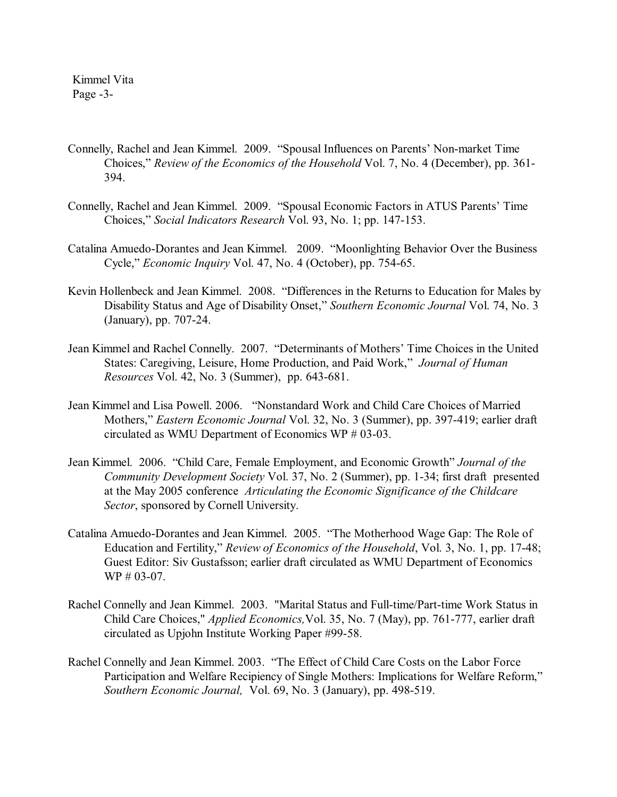Kimmel Vita Page -3-

- Connelly, Rachel and Jean Kimmel. 2009. "Spousal Influences on Parents' Non-market Time Choices," *Review of the Economics of the Household* Vol. 7, No. 4 (December), pp. 361- 394.
- Connelly, Rachel and Jean Kimmel. 2009. "Spousal Economic Factors in ATUS Parents' Time Choices," *Social Indicators Research* Vol. 93, No. 1; pp. 147-153.
- Catalina Amuedo-Dorantes and Jean Kimmel. 2009. "Moonlighting Behavior Over the Business Cycle," *Economic Inquiry* Vol. 47, No. 4 (October), pp. 754-65.
- Kevin Hollenbeck and Jean Kimmel. 2008. "Differences in the Returns to Education for Males by Disability Status and Age of Disability Onset," *Southern Economic Journal* Vol. 74, No. 3 (January), pp. 707-24.
- Jean Kimmel and Rachel Connelly. 2007. "Determinants of Mothers' Time Choices in the United States: Caregiving, Leisure, Home Production, and Paid Work," *Journal of Human Resources* Vol. 42, No. 3 (Summer), pp. 643-681.
- Jean Kimmel and Lisa Powell. 2006. "Nonstandard Work and Child Care Choices of Married Mothers," *Eastern Economic Journal* Vol. 32, No. 3 (Summer), pp. 397-419; earlier draft circulated as WMU Department of Economics WP # 03-03.
- Jean Kimmel. 2006. "Child Care, Female Employment, and Economic Growth" *Journal of the Community Development Society* Vol. 37, No. 2 (Summer), pp. 1-34; first draft presented at the May 2005 conference *Articulating the Economic Significance of the Childcare Sector*, sponsored by Cornell University.
- Catalina Amuedo-Dorantes and Jean Kimmel. 2005. "The Motherhood Wage Gap: The Role of Education and Fertility," *Review of Economics of the Household*, Vol. 3, No. 1, pp. 17-48; Guest Editor: Siv Gustafsson; earlier draft circulated as WMU Department of Economics WP # 03-07.
- Rachel Connelly and Jean Kimmel. 2003. "Marital Status and Full-time/Part-time Work Status in Child Care Choices," *Applied Economics,*Vol. 35, No. 7 (May), pp. 761-777, earlier draft circulated as Upjohn Institute Working Paper #99-58.
- Rachel Connelly and Jean Kimmel. 2003. "The Effect of Child Care Costs on the Labor Force Participation and Welfare Recipiency of Single Mothers: Implications for Welfare Reform," *Southern Economic Journal,* Vol. 69, No. 3 (January), pp. 498-519.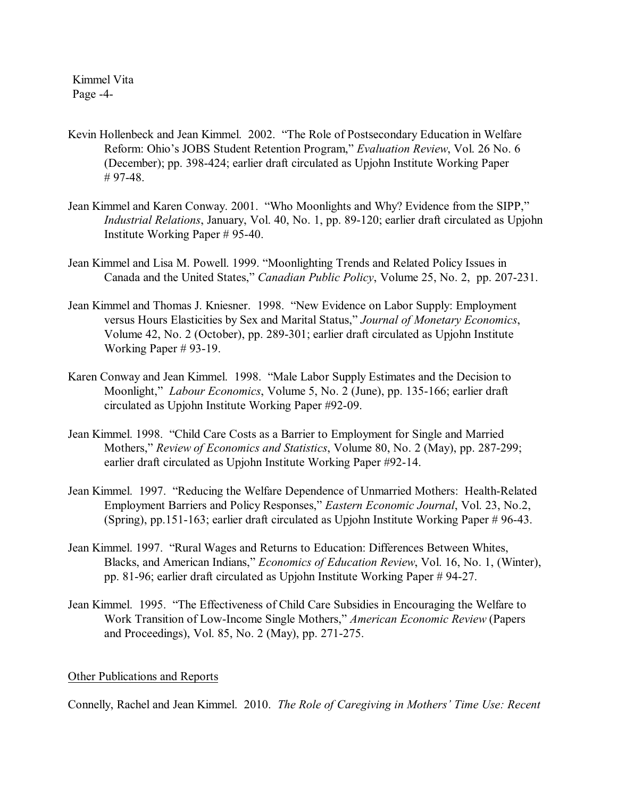Kimmel Vita Page -4-

- Kevin Hollenbeck and Jean Kimmel. 2002. "The Role of Postsecondary Education in Welfare Reform: Ohio's JOBS Student Retention Program," *Evaluation Review*, Vol. 26 No. 6 (December); pp. 398-424; earlier draft circulated as Upjohn Institute Working Paper # 97-48.
- Jean Kimmel and Karen Conway. 2001. "Who Moonlights and Why? Evidence from the SIPP," *Industrial Relations*, January, Vol. 40, No. 1, pp. 89-120; earlier draft circulated as Upjohn Institute Working Paper # 95-40.
- Jean Kimmel and Lisa M. Powell. 1999. "Moonlighting Trends and Related Policy Issues in Canada and the United States," *Canadian Public Policy*, Volume 25, No. 2, pp. 207-231.
- Jean Kimmel and Thomas J. Kniesner. 1998. "New Evidence on Labor Supply: Employment versus Hours Elasticities by Sex and Marital Status," *Journal of Monetary Economics*, Volume 42, No. 2 (October), pp. 289-301; earlier draft circulated as Upjohn Institute Working Paper # 93-19.
- Karen Conway and Jean Kimmel. 1998. "Male Labor Supply Estimates and the Decision to Moonlight," *Labour Economics*, Volume 5, No. 2 (June), pp. 135-166; earlier draft circulated as Upjohn Institute Working Paper #92-09.
- Jean Kimmel. 1998. "Child Care Costs as a Barrier to Employment for Single and Married Mothers," *Review of Economics and Statistics*, Volume 80, No. 2 (May), pp. 287-299; earlier draft circulated as Upjohn Institute Working Paper #92-14.
- Jean Kimmel. 1997. "Reducing the Welfare Dependence of Unmarried Mothers: Health-Related Employment Barriers and Policy Responses," *Eastern Economic Journal*, Vol. 23, No.2, (Spring), pp.151-163; earlier draft circulated as Upjohn Institute Working Paper # 96-43.
- Jean Kimmel. 1997. "Rural Wages and Returns to Education: Differences Between Whites, Blacks, and American Indians," *Economics of Education Review*, Vol. 16, No. 1, (Winter), pp. 81-96; earlier draft circulated as Upjohn Institute Working Paper # 94-27.
- Jean Kimmel. 1995. "The Effectiveness of Child Care Subsidies in Encouraging the Welfare to Work Transition of Low-Income Single Mothers," *American Economic Review* (Papers and Proceedings), Vol. 85, No. 2 (May), pp. 271-275.

# Other Publications and Reports

Connelly, Rachel and Jean Kimmel. 2010. *The Role of Caregiving in Mothers' Time Use: Recent*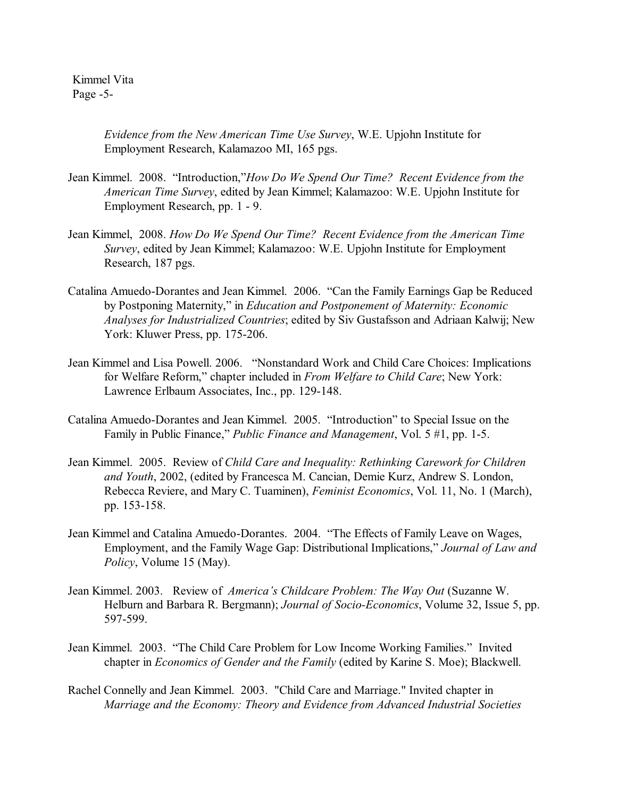Kimmel Vita Page -5-

> *Evidence from the New American Time Use Survey*, W.E. Upjohn Institute for Employment Research, Kalamazoo MI, 165 pgs.

- Jean Kimmel. 2008. "Introduction,"*How Do We Spend Our Time? Recent Evidence from the American Time Survey*, edited by Jean Kimmel; Kalamazoo: W.E. Upjohn Institute for Employment Research, pp. 1 - 9.
- Jean Kimmel, 2008. *How Do We Spend Our Time? Recent Evidence from the American Time Survey*, edited by Jean Kimmel; Kalamazoo: W.E. Upjohn Institute for Employment Research, 187 pgs.
- Catalina Amuedo-Dorantes and Jean Kimmel. 2006. "Can the Family Earnings Gap be Reduced by Postponing Maternity," in *Education and Postponement of Maternity: Economic Analyses for Industrialized Countries*; edited by Siv Gustafsson and Adriaan Kalwij; New York: Kluwer Press, pp. 175-206.
- Jean Kimmel and Lisa Powell. 2006. "Nonstandard Work and Child Care Choices: Implications for Welfare Reform," chapter included in *From Welfare to Child Care*; New York: Lawrence Erlbaum Associates, Inc., pp. 129-148.
- Catalina Amuedo-Dorantes and Jean Kimmel. 2005. "Introduction" to Special Issue on the Family in Public Finance," *Public Finance and Management*, Vol. 5 #1, pp. 1-5.
- Jean Kimmel. 2005. Review of *Child Care and Inequality: Rethinking Carework for Children and Youth*, 2002, (edited by Francesca M. Cancian, Demie Kurz, Andrew S. London, Rebecca Reviere, and Mary C. Tuaminen), *Feminist Economics*, Vol. 11, No. 1 (March), pp. 153-158.
- .Jean Kimmel and Catalina Amuedo-Dorantes. 2004. "The Effects of Family Leave on Wages, Employment, and the Family Wage Gap: Distributional Implications," *Journal of Law and Policy*, Volume 15 (May).
- Jean Kimmel. 2003. Review of *America's Childcare Problem: The Way Out* (Suzanne W. Helburn and Barbara R. Bergmann); *Journal of Socio-Economics*, Volume 32, Issue 5, pp. 597-599.
- Jean Kimmel. 2003. "The Child Care Problem for Low Income Working Families." Invited chapter in *Economics of Gender and the Family* (edited by Karine S. Moe); Blackwell.
- Rachel Connelly and Jean Kimmel. 2003. "Child Care and Marriage." Invited chapter in *Marriage and the Economy: Theory and Evidence from Advanced Industrial Societies*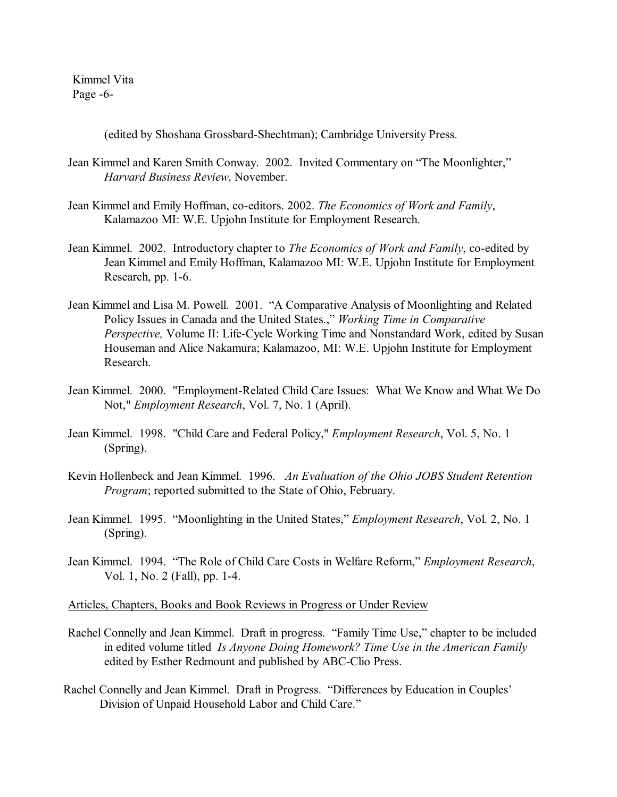Kimmel Vita Page -6-

(edited by Shoshana Grossbard-Shechtman); Cambridge University Press.

- Jean Kimmel and Karen Smith Conway. 2002. Invited Commentary on "The Moonlighter," *Harvard Business Review*, November.
- Jean Kimmel and Emily Hoffman, co-editors. 2002. *The Economics of Work and Family*, Kalamazoo MI: W.E. Upjohn Institute for Employment Research.
- Jean Kimmel. 2002. Introductory chapter to *The Economics of Work and Family*, co-edited by Jean Kimmel and Emily Hoffman, Kalamazoo MI: W.E. Upjohn Institute for Employment Research, pp. 1-6.
- Jean Kimmel and Lisa M. Powell. 2001. "A Comparative Analysis of Moonlighting and Related Policy Issues in Canada and the United States.," *Working Time in Comparative Perspective,* Volume II: Life-Cycle Working Time and Nonstandard Work, edited by Susan Houseman and Alice Nakamura; Kalamazoo, MI: W.E. Upjohn Institute for Employment Research.
- Jean Kimmel. 2000. "Employment-Related Child Care Issues: What We Know and What We Do Not," *Employment Research*, Vol. 7, No. 1 (April).
- Jean Kimmel. 1998. "Child Care and Federal Policy," *Employment Research*, Vol. 5, No. 1 (Spring).
- Kevin Hollenbeck and Jean Kimmel. 1996. *An Evaluation of the Ohio JOBS Student Retention Program*; reported submitted to the State of Ohio, February.
- Jean Kimmel. 1995. "Moonlighting in the United States," *Employment Research*, Vol. 2, No. 1 (Spring).
- Jean Kimmel. 1994. "The Role of Child Care Costs in Welfare Reform," *Employment Research*, Vol. 1, No. 2 (Fall), pp. 1-4.

## Articles, Chapters, Books and Book Reviews in Progress or Under Review

- Rachel Connelly and Jean Kimmel. Draft in progress. "Family Time Use," chapter to be included in edited volume titled *Is Anyone Doing Homework? Time Use in the American Family* edited by Esther Redmount and published by ABC-Clio Press.
- Rachel Connelly and Jean Kimmel. Draft in Progress. "Differences by Education in Couples' Division of Unpaid Household Labor and Child Care."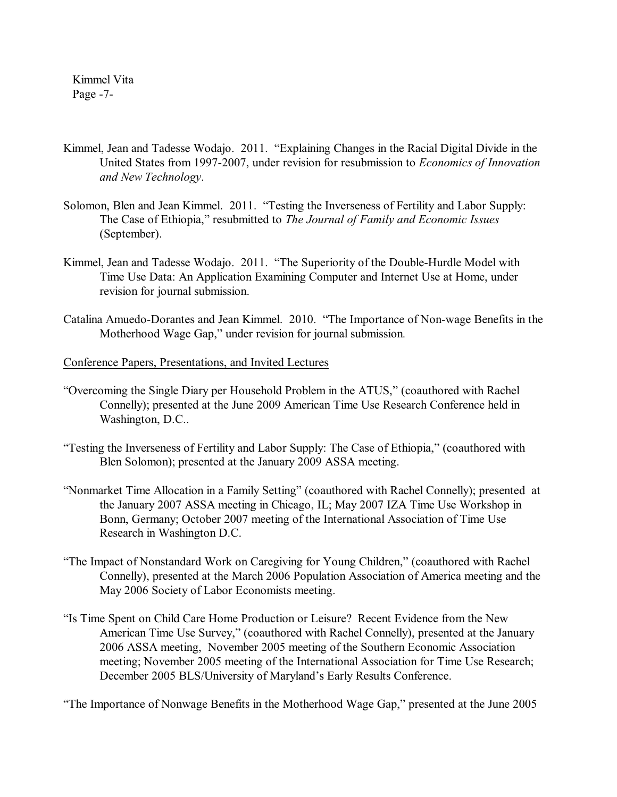Kimmel Vita Page -7-

- Kimmel, Jean and Tadesse Wodajo. 2011. "Explaining Changes in the Racial Digital Divide in the United States from 1997-2007, under revision for resubmission to *Economics of Innovation and New Technology*.
- Solomon, Blen and Jean Kimmel. 2011. "Testing the Inverseness of Fertility and Labor Supply: The Case of Ethiopia," resubmitted to *The Journal of Family and Economic Issues* (September).
- Kimmel, Jean and Tadesse Wodajo. 2011. "The Superiority of the Double-Hurdle Model with Time Use Data: An Application Examining Computer and Internet Use at Home, under revision for journal submission.
- Catalina Amuedo-Dorantes and Jean Kimmel. 2010. "The Importance of Non-wage Benefits in the Motherhood Wage Gap," under revision for journal submission*.*

#### Conference Papers, Presentations, and Invited Lectures

- "Overcoming the Single Diary per Household Problem in the ATUS," (coauthored with Rachel Connelly); presented at the June 2009 American Time Use Research Conference held in Washington, D.C..
- "Testing the Inverseness of Fertility and Labor Supply: The Case of Ethiopia," (coauthored with Blen Solomon); presented at the January 2009 ASSA meeting.
- "Nonmarket Time Allocation in a Family Setting" (coauthored with Rachel Connelly); presented at the January 2007 ASSA meeting in Chicago, IL; May 2007 IZA Time Use Workshop in Bonn, Germany; October 2007 meeting of the International Association of Time Use Research in Washington D.C.
- "The Impact of Nonstandard Work on Caregiving for Young Children," (coauthored with Rachel Connelly), presented at the March 2006 Population Association of America meeting and the May 2006 Society of Labor Economists meeting.
- "Is Time Spent on Child Care Home Production or Leisure? Recent Evidence from the New American Time Use Survey," (coauthored with Rachel Connelly), presented at the January 2006 ASSA meeting, November 2005 meeting of the Southern Economic Association meeting; November 2005 meeting of the International Association for Time Use Research; December 2005 BLS/University of Maryland's Early Results Conference.

"The Importance of Nonwage Benefits in the Motherhood Wage Gap," presented at the June 2005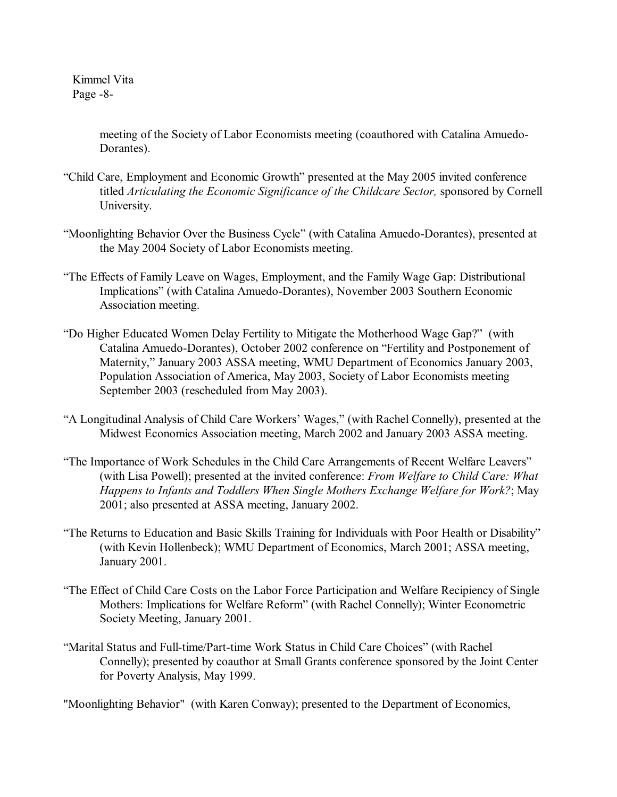Kimmel Vita Page -8-

> meeting of the Society of Labor Economists meeting (coauthored with Catalina Amuedo-Dorantes).

- "Child Care, Employment and Economic Growth" presented at the May 2005 invited conference titled *Articulating the Economic Significance of the Childcare Sector,* sponsored by Cornell University.
- "Moonlighting Behavior Over the Business Cycle" (with Catalina Amuedo-Dorantes), presented at the May 2004 Society of Labor Economists meeting.
- "The Effects of Family Leave on Wages, Employment, and the Family Wage Gap: Distributional Implications" (with Catalina Amuedo-Dorantes), November 2003 Southern Economic Association meeting.
- "Do Higher Educated Women Delay Fertility to Mitigate the Motherhood Wage Gap?" (with Catalina Amuedo-Dorantes), October 2002 conference on "Fertility and Postponement of Maternity," January 2003 ASSA meeting, WMU Department of Economics January 2003, Population Association of America, May 2003, Society of Labor Economists meeting September 2003 (rescheduled from May 2003).
- "A Longitudinal Analysis of Child Care Workers' Wages," (with Rachel Connelly), presented at the Midwest Economics Association meeting, March 2002 and January 2003 ASSA meeting.
- "The Importance of Work Schedules in the Child Care Arrangements of Recent Welfare Leavers" (with Lisa Powell); presented at the invited conference: *From Welfare to Child Care: What Happens to Infants and Toddlers When Single Mothers Exchange Welfare for Work?*; May 2001; also presented at ASSA meeting, January 2002.
- "The Returns to Education and Basic Skills Training for Individuals with Poor Health or Disability" (with Kevin Hollenbeck); WMU Department of Economics, March 2001; ASSA meeting, January 2001.
- "The Effect of Child Care Costs on the Labor Force Participation and Welfare Recipiency of Single Mothers: Implications for Welfare Reform" (with Rachel Connelly); Winter Econometric Society Meeting, January 2001.
- "Marital Status and Full-time/Part-time Work Status in Child Care Choices" (with Rachel Connelly); presented by coauthor at Small Grants conference sponsored by the Joint Center for Poverty Analysis, May 1999.

"Moonlighting Behavior" (with Karen Conway); presented to the Department of Economics,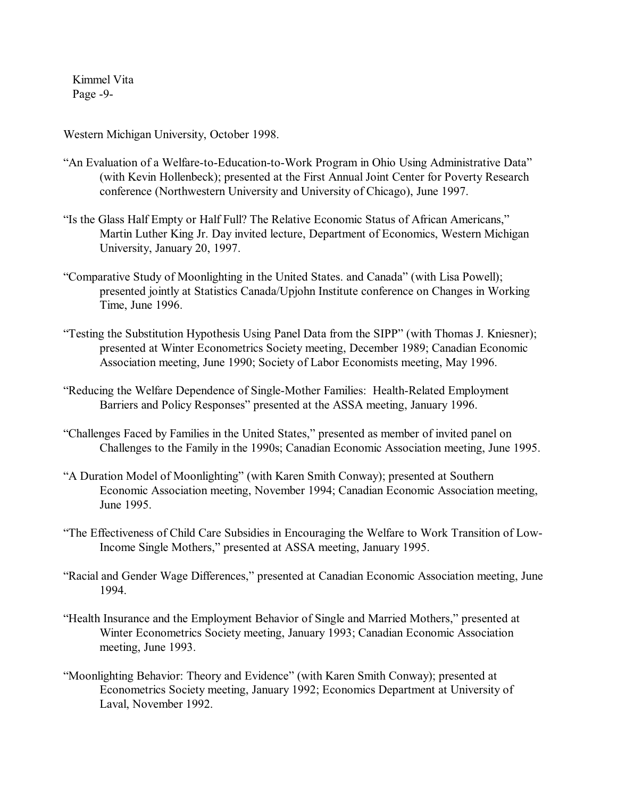Kimmel Vita Page -9-

Western Michigan University, October 1998.

- "An Evaluation of a Welfare-to-Education-to-Work Program in Ohio Using Administrative Data" (with Kevin Hollenbeck); presented at the First Annual Joint Center for Poverty Research conference (Northwestern University and University of Chicago), June 1997.
- "Is the Glass Half Empty or Half Full? The Relative Economic Status of African Americans," Martin Luther King Jr. Day invited lecture, Department of Economics, Western Michigan University, January 20, 1997.
- "Comparative Study of Moonlighting in the United States. and Canada" (with Lisa Powell); presented jointly at Statistics Canada/Upjohn Institute conference on Changes in Working Time, June 1996.
- "Testing the Substitution Hypothesis Using Panel Data from the SIPP" (with Thomas J. Kniesner); presented at Winter Econometrics Society meeting, December 1989; Canadian Economic Association meeting, June 1990; Society of Labor Economists meeting, May 1996.
- "Reducing the Welfare Dependence of Single-Mother Families: Health-Related Employment Barriers and Policy Responses" presented at the ASSA meeting, January 1996.
- "Challenges Faced by Families in the United States," presented as member of invited panel on Challenges to the Family in the 1990s; Canadian Economic Association meeting, June 1995.
- "A Duration Model of Moonlighting" (with Karen Smith Conway); presented at Southern Economic Association meeting, November 1994; Canadian Economic Association meeting, June 1995.
- "The Effectiveness of Child Care Subsidies in Encouraging the Welfare to Work Transition of Low-Income Single Mothers," presented at ASSA meeting, January 1995.
- "Racial and Gender Wage Differences," presented at Canadian Economic Association meeting, June 1994.
- "Health Insurance and the Employment Behavior of Single and Married Mothers," presented at Winter Econometrics Society meeting, January 1993; Canadian Economic Association meeting, June 1993.
- "Moonlighting Behavior: Theory and Evidence" (with Karen Smith Conway); presented at Econometrics Society meeting, January 1992; Economics Department at University of Laval, November 1992.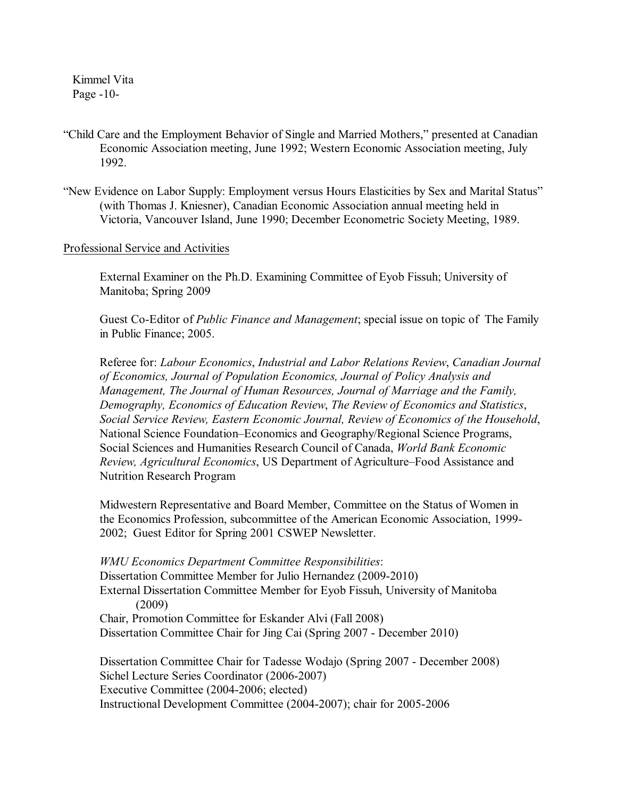Kimmel Vita Page -10-

- "Child Care and the Employment Behavior of Single and Married Mothers," presented at Canadian Economic Association meeting, June 1992; Western Economic Association meeting, July 1992.
- "New Evidence on Labor Supply: Employment versus Hours Elasticities by Sex and Marital Status" (with Thomas J. Kniesner), Canadian Economic Association annual meeting held in Victoria, Vancouver Island, June 1990; December Econometric Society Meeting, 1989.

## Professional Service and Activities

External Examiner on the Ph.D. Examining Committee of Eyob Fissuh; University of Manitoba; Spring 2009

Guest Co-Editor of *Public Finance and Management*; special issue on topic of The Family in Public Finance; 2005.

Referee for: *Labour Economics*, *Industrial and Labor Relations Review*, *Canadian Journal of Economics, Journal of Population Economics, Journal of Policy Analysis and Management, The Journal of Human Resources, Journal of Marriage and the Family, Demography, Economics of Education Review*, *The Review of Economics and Statistics*, *Social Service Review, Eastern Economic Journal, Review of Economics of the Household*, National Science Foundation–Economics and Geography/Regional Science Programs, Social Sciences and Humanities Research Council of Canada, *World Bank Economic Review, Agricultural Economics*, US Department of Agriculture–Food Assistance and Nutrition Research Program

Midwestern Representative and Board Member, Committee on the Status of Women in the Economics Profession, subcommittee of the American Economic Association, 1999- 2002; Guest Editor for Spring 2001 CSWEP Newsletter.

*WMU Economics Department Committee Responsibilities*: Dissertation Committee Member for Julio Hernandez (2009-2010) External Dissertation Committee Member for Eyob Fissuh, University of Manitoba (2009) Chair, Promotion Committee for Eskander Alvi (Fall 2008) Dissertation Committee Chair for Jing Cai (Spring 2007 - December 2010)

 Dissertation Committee Chair for Tadesse Wodajo (Spring 2007 - December 2008) Sichel Lecture Series Coordinator (2006-2007) Executive Committee (2004-2006; elected) Instructional Development Committee (2004-2007); chair for 2005-2006